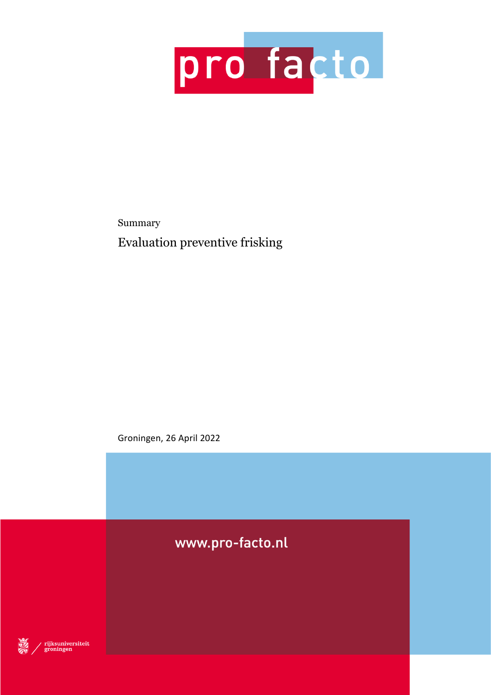

Summary Evaluation preventive frisking

Groningen, 26 April 2022

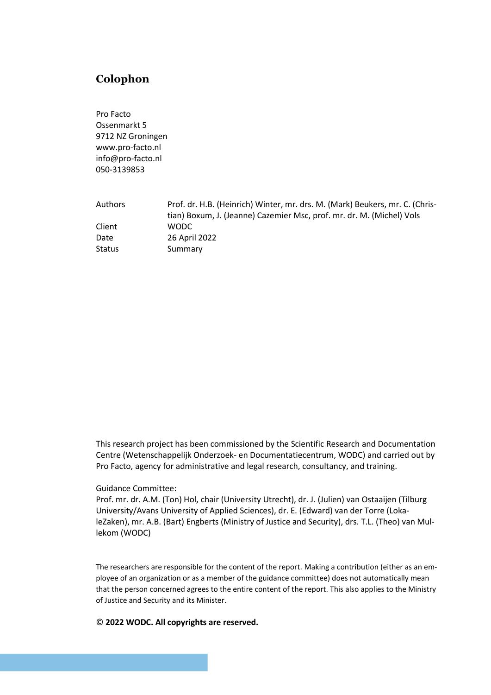# **Colophon**

Pro Facto Ossenmarkt 5 9712 NZ Groningen www.pro-facto.nl info@pro-facto.nl 050-3139853

| Authors | Prof. dr. H.B. (Heinrich) Winter, mr. drs. M. (Mark) Beukers, mr. C. (Chris- |
|---------|------------------------------------------------------------------------------|
|         | tian) Boxum, J. (Jeanne) Cazemier Msc, prof. mr. dr. M. (Michel) Vols        |
| Client  | WODC.                                                                        |
| Date    | 26 April 2022                                                                |
| Status  | Summary                                                                      |

This research project has been commissioned by the Scientific Research and Documentation Centre (Wetenschappelijk Onderzoek- en Documentatiecentrum, WODC) and carried out by Pro Facto, agency for administrative and legal research, consultancy, and training.

### Guidance Committee:

Prof. mr. dr. A.M. (Ton) Hol, chair (University Utrecht), dr. J. (Julien) van Ostaaijen (Tilburg University/Avans University of Applied Sciences), dr. E. (Edward) van der Torre (LokaleZaken), mr. A.B. (Bart) Engberts (Ministry of Justice and Security), drs. T.L. (Theo) van Mullekom (WODC)

The researchers are responsible for the content of the report. Making a contribution (either as an employee of an organization or as a member of the guidance committee) does not automatically mean that the person concerned agrees to the entire content of the report. This also applies to the Ministry of Justice and Security and its Minister.

© **2022 WODC. All copyrights are reserved.**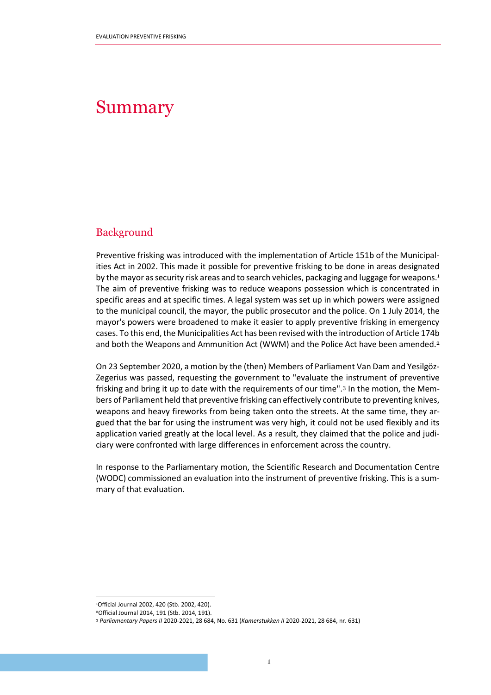# Summary

# Background

Preventive frisking was introduced with the implementation of Article 151b of the Municipalities Act in 2002. This made it possible for preventive frisking to be done in areas designated by the mayor as security risk areas and to search vehicles, packaging and luggage for weapons.<sup>1</sup> The aim of preventive frisking was to reduce weapons possession which is concentrated in specific areas and at specific times. A legal system was set up in which powers were assigned to the municipal council, the mayor, the public prosecutor and the police. On 1 July 2014, the mayor's powers were broadened to make it easier to apply preventive frisking in emergency cases. To this end, the Municipalities Act has been revised with the introduction of Article 174b and both the Weapons and Ammunition Act (WWM) and the Police Act have been amended.<sup>2</sup>

On 23 September 2020, a motion by the (then) Members of Parliament Van Dam and Yesilgöz-Zegerius was passed, requesting the government to "evaluate the instrument of preventive frisking and bring it up to date with the requirements of our time".<sup>3</sup> In the motion, the Members of Parliament held that preventive frisking can effectively contribute to preventing knives, weapons and heavy fireworks from being taken onto the streets. At the same time, they argued that the bar for using the instrument was very high, it could not be used flexibly and its application varied greatly at the local level. As a result, they claimed that the police and judiciary were confronted with large differences in enforcement across the country.

In response to the Parliamentary motion, the Scientific Research and Documentation Centre (WODC) commissioned an evaluation into the instrument of preventive frisking. This is a summary of that evaluation.

<sup>1</sup>Official Journal 2002, 420 (Stb. 2002, 420).

<sup>2</sup>Official Journal 2014, 191 (Stb. 2014, 191).

<sup>3</sup> *Parliamentary Papers II* 2020-2021, 28 684, No. 631 (*Kamerstukken II* 2020-2021, 28 684, nr. 631)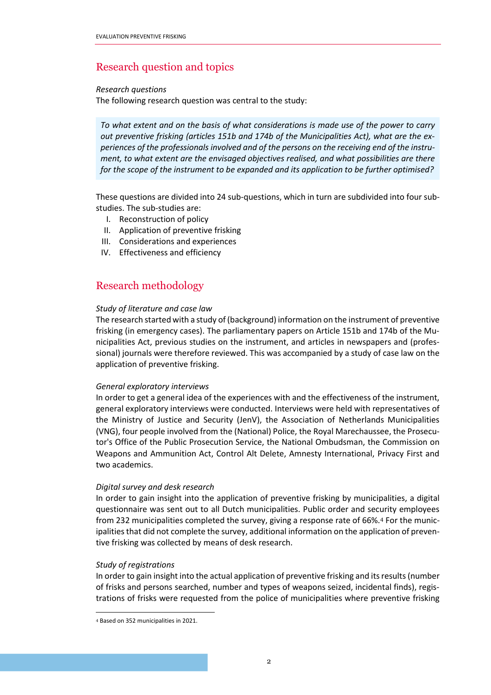# Research question and topics

### *Research questions*

The following research question was central to the study:

*To what extent and on the basis of what considerations is made use of the power to carry out preventive frisking (articles 151b and 174b of the Municipalities Act), what are the experiences of the professionals involved and of the persons on the receiving end of the instrument, to what extent are the envisaged objectives realised, and what possibilities are there for the scope of the instrument to be expanded and its application to be further optimised?*

These questions are divided into 24 sub-questions, which in turn are subdivided into four substudies. The sub-studies are:

- I. Reconstruction of policy
- II. Application of preventive frisking
- III. Considerations and experiences
- IV. Effectiveness and efficiency

# Research methodology

### *Study of literature and case law*

The research started with a study of (background) information on the instrument of preventive frisking (in emergency cases). The parliamentary papers on Article 151b and 174b of the Municipalities Act, previous studies on the instrument, and articles in newspapers and (professional) journals were therefore reviewed. This was accompanied by a study of case law on the application of preventive frisking.

## *General exploratory interviews*

In order to get a general idea of the experiences with and the effectiveness of the instrument, general exploratory interviews were conducted. Interviews were held with representatives of the Ministry of Justice and Security (JenV), the Association of Netherlands Municipalities (VNG), four people involved from the (National) Police, the Royal Marechaussee, the Prosecutor's Office of the Public Prosecution Service, the National Ombudsman, the Commission on Weapons and Ammunition Act, Control Alt Delete, Amnesty International, Privacy First and two academics.

## *Digital survey and desk research*

In order to gain insight into the application of preventive frisking by municipalities, a digital questionnaire was sent out to all Dutch municipalities. Public order and security employees from 232 municipalities completed the survey, giving a response rate of 66%.<sup>4</sup> For the municipalities that did not complete the survey, additional information on the application of preventive frisking was collected by means of desk research.

## *Study of registrations*

In order to gain insight into the actual application of preventive frisking and its results (number of frisks and persons searched, number and types of weapons seized, incidental finds), registrations of frisks were requested from the police of municipalities where preventive frisking

<sup>4</sup> Based on 352 municipalities in 2021.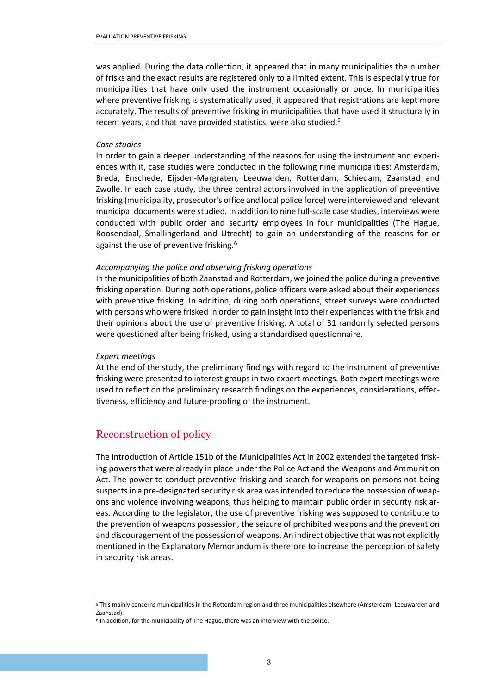was applied. During the data collection, it appeared that in many municipalities the number of frisks and the exact results are registered only to a limited extent. This is especially true for municipalities that have only used the instrument occasionally or once. In municipalities where preventive frisking is systematically used, it appeared that registrations are kept more accurately. The results of preventive frisking in municipalities that have used it structurally in recent years, and that have provided statistics, were also studied.<sup>5</sup>

#### *Case studies*

In order to gain a deeper understanding of the reasons for using the instrument and experiences with it, case studies were conducted in the following nine municipalities: Amsterdam, Breda, Enschede, Eijsden-Margraten, Leeuwarden, Rotterdam, Schiedam, Zaanstad and Zwolle. In each case study, the three central actors involved in the application of preventive frisking (municipality, prosecutor's office and local police force) were interviewed and relevant municipal documents were studied. In addition to nine full-scale case studies, interviews were conducted with public order and security employees in four municipalities (The Hague, Roosendaal, Smallingerland and Utrecht) to gain an understanding of the reasons for or against the use of preventive frisking.<sup>6</sup>

#### *Accompanying the police and observing frisking operations*

In the municipalities of both Zaanstad and Rotterdam, we joined the police during a preventive frisking operation. During both operations, police officers were asked about their experiences with preventive frisking. In addition, during both operations, street surveys were conducted with persons who were frisked in order to gain insight into their experiences with the frisk and their opinions about the use of preventive frisking. A total of 31 randomly selected persons were questioned after being frisked, using a standardised questionnaire.

#### *Expert meetings*

At the end of the study, the preliminary findings with regard to the instrument of preventive frisking were presented to interest groups in two expert meetings. Both expert meetings were used to reflect on the preliminary research findings on the experiences, considerations, effectiveness, efficiency and future-proofing of the instrument.

# Reconstruction of policy

The introduction of Article 151b of the Municipalities Act in 2002 extended the targeted frisking powers that were already in place under the Police Act and the Weapons and Ammunition Act. The power to conduct preventive frisking and search for weapons on persons not being suspects in a pre-designated security risk area was intended to reduce the possession of weapons and violence involving weapons, thus helping to maintain public order in security risk areas. According to the legislator, the use of preventive frisking was supposed to contribute to the prevention of weapons possession, the seizure of prohibited weapons and the prevention and discouragement of the possession of weapons. An indirect objective that was not explicitly mentioned in the Explanatory Memorandum is therefore to increase the perception of safety in security risk areas.

<sup>5</sup> This mainly concerns municipalities in the Rotterdam region and three municipalities elsewhere (Amsterdam, Leeuwarden and Zaanstad).

 $6$  In addition, for the municipality of The Hague, there was an interview with the police.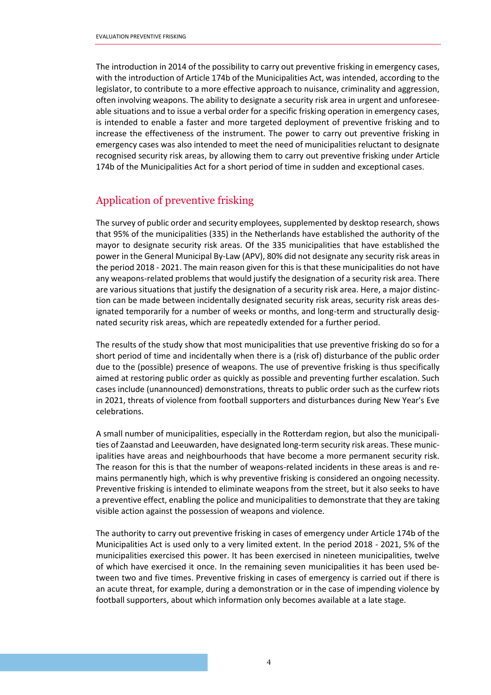The introduction in 2014 of the possibility to carry out preventive frisking in emergency cases, with the introduction of Article 174b of the Municipalities Act, was intended, according to the legislator, to contribute to a more effective approach to nuisance, criminality and aggression, often involving weapons. The ability to designate a security risk area in urgent and unforeseeable situations and to issue a verbal order for a specific frisking operation in emergency cases, is intended to enable a faster and more targeted deployment of preventive frisking and to increase the effectiveness of the instrument. The power to carry out preventive frisking in emergency cases was also intended to meet the need of municipalities reluctant to designate recognised security risk areas, by allowing them to carry out preventive frisking under Article 174b of the Municipalities Act for a short period of time in sudden and exceptional cases.

# Application of preventive frisking

The survey of public order and security employees, supplemented by desktop research, shows that 95% of the municipalities (335) in the Netherlands have established the authority of the mayor to designate security risk areas. Of the 335 municipalities that have established the power in the General Municipal By-Law (APV), 80% did not designate any security risk areas in the period 2018 - 2021. The main reason given for this is that these municipalities do not have any weapons-related problems that would justify the designation of a security risk area. There are various situations that justify the designation of a security risk area. Here, a major distinction can be made between incidentally designated security risk areas, security risk areas designated temporarily for a number of weeks or months, and long-term and structurally designated security risk areas, which are repeatedly extended for a further period.

The results of the study show that most municipalities that use preventive frisking do so for a short period of time and incidentally when there is a (risk of) disturbance of the public order due to the (possible) presence of weapons. The use of preventive frisking is thus specifically aimed at restoring public order as quickly as possible and preventing further escalation. Such cases include (unannounced) demonstrations, threats to public order such as the curfew riots in 2021, threats of violence from football supporters and disturbances during New Year's Eve celebrations.

A small number of municipalities, especially in the Rotterdam region, but also the municipalities of Zaanstad and Leeuwarden, have designated long-term security risk areas. These municipalities have areas and neighbourhoods that have become a more permanent security risk. The reason for this is that the number of weapons-related incidents in these areas is and remains permanently high, which is why preventive frisking is considered an ongoing necessity. Preventive frisking is intended to eliminate weapons from the street, but it also seeks to have a preventive effect, enabling the police and municipalities to demonstrate that they are taking visible action against the possession of weapons and violence.

The authority to carry out preventive frisking in cases of emergency under Article 174b of the Municipalities Act is used only to a very limited extent. In the period 2018 - 2021, 5% of the municipalities exercised this power. It has been exercised in nineteen municipalities, twelve of which have exercised it once. In the remaining seven municipalities it has been used between two and five times. Preventive frisking in cases of emergency is carried out if there is an acute threat, for example, during a demonstration or in the case of impending violence by football supporters, about which information only becomes available at a late stage.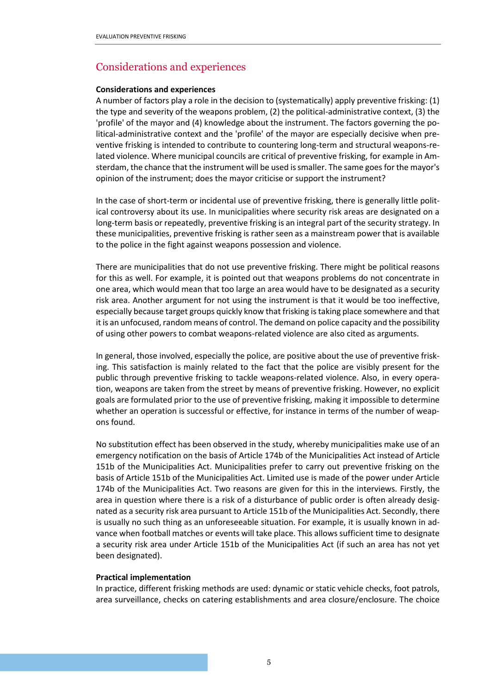# Considerations and experiences

### **Considerations and experiences**

A number of factors play a role in the decision to (systematically) apply preventive frisking: (1) the type and severity of the weapons problem, (2) the political-administrative context, (3) the 'profile' of the mayor and (4) knowledge about the instrument. The factors governing the political-administrative context and the 'profile' of the mayor are especially decisive when preventive frisking is intended to contribute to countering long-term and structural weapons-related violence. Where municipal councils are critical of preventive frisking, for example in Amsterdam, the chance that the instrument will be used is smaller. The same goes for the mayor's opinion of the instrument; does the mayor criticise or support the instrument?

In the case of short-term or incidental use of preventive frisking, there is generally little political controversy about its use. In municipalities where security risk areas are designated on a long-term basis or repeatedly, preventive frisking is an integral part of the security strategy. In these municipalities, preventive frisking is rather seen as a mainstream power that is available to the police in the fight against weapons possession and violence.

There are municipalities that do not use preventive frisking. There might be political reasons for this as well. For example, it is pointed out that weapons problems do not concentrate in one area, which would mean that too large an area would have to be designated as a security risk area. Another argument for not using the instrument is that it would be too ineffective, especially because target groups quickly know that frisking is taking place somewhere and that it is an unfocused, random means of control. The demand on police capacity and the possibility of using other powers to combat weapons-related violence are also cited as arguments.

In general, those involved, especially the police, are positive about the use of preventive frisking. This satisfaction is mainly related to the fact that the police are visibly present for the public through preventive frisking to tackle weapons-related violence. Also, in every operation, weapons are taken from the street by means of preventive frisking. However, no explicit goals are formulated prior to the use of preventive frisking, making it impossible to determine whether an operation is successful or effective, for instance in terms of the number of weapons found.

No substitution effect has been observed in the study, whereby municipalities make use of an emergency notification on the basis of Article 174b of the Municipalities Act instead of Article 151b of the Municipalities Act. Municipalities prefer to carry out preventive frisking on the basis of Article 151b of the Municipalities Act. Limited use is made of the power under Article 174b of the Municipalities Act. Two reasons are given for this in the interviews. Firstly, the area in question where there is a risk of a disturbance of public order is often already designated as a security risk area pursuant to Article 151b of the Municipalities Act. Secondly, there is usually no such thing as an unforeseeable situation. For example, it is usually known in advance when football matches or events will take place. This allows sufficient time to designate a security risk area under Article 151b of the Municipalities Act (if such an area has not yet been designated).

## **Practical implementation**

In practice, different frisking methods are used: dynamic or static vehicle checks, foot patrols, area surveillance, checks on catering establishments and area closure/enclosure. The choice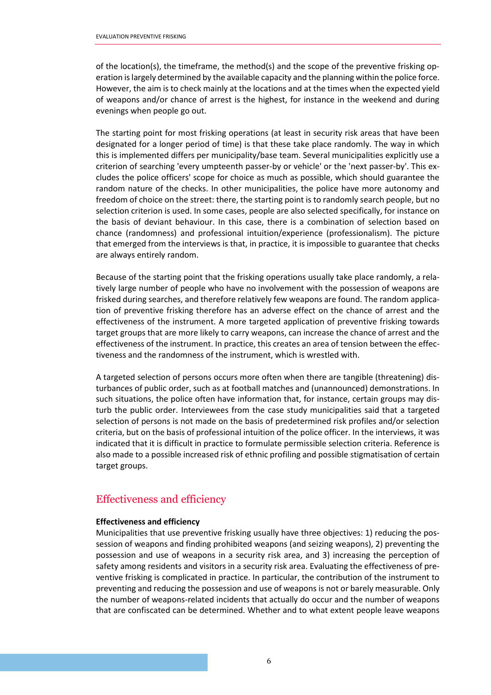of the location(s), the timeframe, the method(s) and the scope of the preventive frisking operation is largely determined by the available capacity and the planning within the police force. However, the aim is to check mainly at the locations and at the times when the expected yield of weapons and/or chance of arrest is the highest, for instance in the weekend and during evenings when people go out.

The starting point for most frisking operations (at least in security risk areas that have been designated for a longer period of time) is that these take place randomly. The way in which this is implemented differs per municipality/base team. Several municipalities explicitly use a criterion of searching 'every umpteenth passer-by or vehicle' or the 'next passer-by'. This excludes the police officers' scope for choice as much as possible, which should guarantee the random nature of the checks. In other municipalities, the police have more autonomy and freedom of choice on the street: there, the starting point is to randomly search people, but no selection criterion is used. In some cases, people are also selected specifically, for instance on the basis of deviant behaviour. In this case, there is a combination of selection based on chance (randomness) and professional intuition/experience (professionalism). The picture that emerged from the interviews is that, in practice, it is impossible to guarantee that checks are always entirely random.

Because of the starting point that the frisking operations usually take place randomly, a relatively large number of people who have no involvement with the possession of weapons are frisked during searches, and therefore relatively few weapons are found. The random application of preventive frisking therefore has an adverse effect on the chance of arrest and the effectiveness of the instrument. A more targeted application of preventive frisking towards target groups that are more likely to carry weapons, can increase the chance of arrest and the effectiveness of the instrument. In practice, this creates an area of tension between the effectiveness and the randomness of the instrument, which is wrestled with.

A targeted selection of persons occurs more often when there are tangible (threatening) disturbances of public order, such as at football matches and (unannounced) demonstrations. In such situations, the police often have information that, for instance, certain groups may disturb the public order. Interviewees from the case study municipalities said that a targeted selection of persons is not made on the basis of predetermined risk profiles and/or selection criteria, but on the basis of professional intuition of the police officer. In the interviews, it was indicated that it is difficult in practice to formulate permissible selection criteria. Reference is also made to a possible increased risk of ethnic profiling and possible stigmatisation of certain target groups.

# Effectiveness and efficiency

## **Effectiveness and efficiency**

Municipalities that use preventive frisking usually have three objectives: 1) reducing the possession of weapons and finding prohibited weapons (and seizing weapons), 2) preventing the possession and use of weapons in a security risk area, and 3) increasing the perception of safety among residents and visitors in a security risk area. Evaluating the effectiveness of preventive frisking is complicated in practice. In particular, the contribution of the instrument to preventing and reducing the possession and use of weapons is not or barely measurable. Only the number of weapons-related incidents that actually do occur and the number of weapons that are confiscated can be determined. Whether and to what extent people leave weapons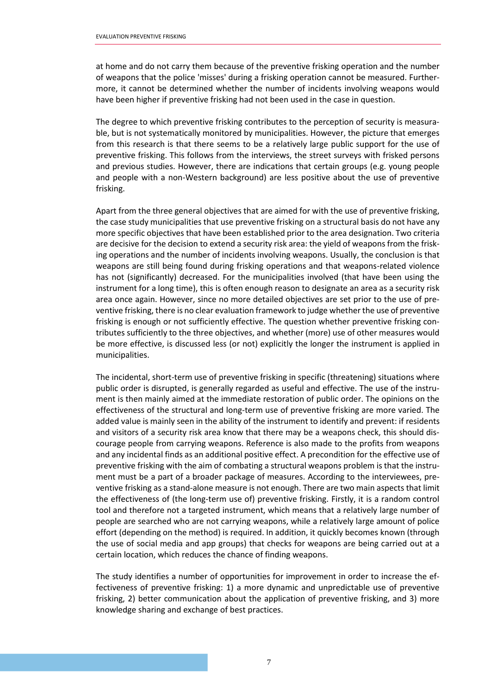at home and do not carry them because of the preventive frisking operation and the number of weapons that the police 'misses' during a frisking operation cannot be measured. Furthermore, it cannot be determined whether the number of incidents involving weapons would have been higher if preventive frisking had not been used in the case in question.

The degree to which preventive frisking contributes to the perception of security is measurable, but is not systematically monitored by municipalities. However, the picture that emerges from this research is that there seems to be a relatively large public support for the use of preventive frisking. This follows from the interviews, the street surveys with frisked persons and previous studies. However, there are indications that certain groups (e.g. young people and people with a non-Western background) are less positive about the use of preventive frisking.

Apart from the three general objectives that are aimed for with the use of preventive frisking, the case study municipalities that use preventive frisking on a structural basis do not have any more specific objectives that have been established prior to the area designation. Two criteria are decisive for the decision to extend a security risk area: the yield of weapons from the frisking operations and the number of incidents involving weapons. Usually, the conclusion is that weapons are still being found during frisking operations and that weapons-related violence has not (significantly) decreased. For the municipalities involved (that have been using the instrument for a long time), this is often enough reason to designate an area as a security risk area once again. However, since no more detailed objectives are set prior to the use of preventive frisking, there is no clear evaluation framework to judge whether the use of preventive frisking is enough or not sufficiently effective. The question whether preventive frisking contributes sufficiently to the three objectives, and whether (more) use of other measures would be more effective, is discussed less (or not) explicitly the longer the instrument is applied in municipalities.

The incidental, short-term use of preventive frisking in specific (threatening) situations where public order is disrupted, is generally regarded as useful and effective. The use of the instrument is then mainly aimed at the immediate restoration of public order. The opinions on the effectiveness of the structural and long-term use of preventive frisking are more varied. The added value is mainly seen in the ability of the instrument to identify and prevent: if residents and visitors of a security risk area know that there may be a weapons check, this should discourage people from carrying weapons. Reference is also made to the profits from weapons and any incidental finds as an additional positive effect. A precondition for the effective use of preventive frisking with the aim of combating a structural weapons problem is that the instrument must be a part of a broader package of measures. According to the interviewees, preventive frisking as a stand-alone measure is not enough. There are two main aspects that limit the effectiveness of (the long-term use of) preventive frisking. Firstly, it is a random control tool and therefore not a targeted instrument, which means that a relatively large number of people are searched who are not carrying weapons, while a relatively large amount of police effort (depending on the method) is required. In addition, it quickly becomes known (through the use of social media and app groups) that checks for weapons are being carried out at a certain location, which reduces the chance of finding weapons.

The study identifies a number of opportunities for improvement in order to increase the effectiveness of preventive frisking: 1) a more dynamic and unpredictable use of preventive frisking, 2) better communication about the application of preventive frisking, and 3) more knowledge sharing and exchange of best practices.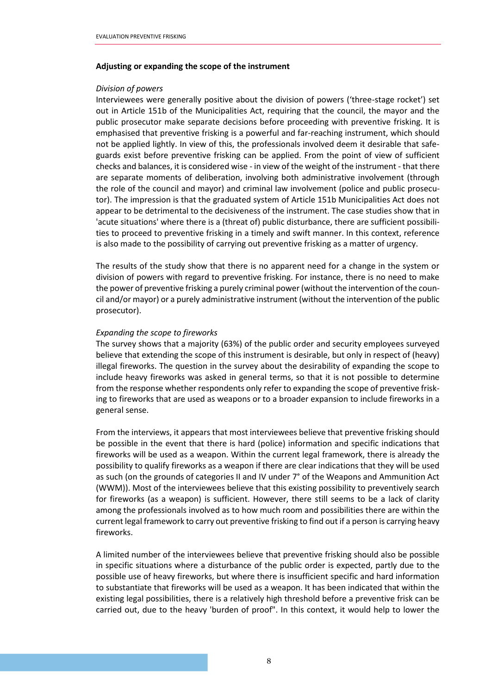#### **Adjusting or expanding the scope of the instrument**

#### *Division of powers*

Interviewees were generally positive about the division of powers ('three-stage rocket') set out in Article 151b of the Municipalities Act, requiring that the council, the mayor and the public prosecutor make separate decisions before proceeding with preventive frisking. It is emphasised that preventive frisking is a powerful and far-reaching instrument, which should not be applied lightly. In view of this, the professionals involved deem it desirable that safeguards exist before preventive frisking can be applied. From the point of view of sufficient checks and balances, it is considered wise - in view of the weight of the instrument - that there are separate moments of deliberation, involving both administrative involvement (through the role of the council and mayor) and criminal law involvement (police and public prosecutor). The impression is that the graduated system of Article 151b Municipalities Act does not appear to be detrimental to the decisiveness of the instrument. The case studies show that in 'acute situations' where there is a (threat of) public disturbance, there are sufficient possibilities to proceed to preventive frisking in a timely and swift manner. In this context, reference is also made to the possibility of carrying out preventive frisking as a matter of urgency.

The results of the study show that there is no apparent need for a change in the system or division of powers with regard to preventive frisking. For instance, there is no need to make the power of preventive frisking a purely criminal power (without the intervention of the council and/or mayor) or a purely administrative instrument (without the intervention of the public prosecutor).

### *Expanding the scope to fireworks*

The survey shows that a majority (63%) of the public order and security employees surveyed believe that extending the scope of this instrument is desirable, but only in respect of (heavy) illegal fireworks. The question in the survey about the desirability of expanding the scope to include heavy fireworks was asked in general terms, so that it is not possible to determine from the response whether respondents only refer to expanding the scope of preventive frisking to fireworks that are used as weapons or to a broader expansion to include fireworks in a general sense.

From the interviews, it appears that most interviewees believe that preventive frisking should be possible in the event that there is hard (police) information and specific indications that fireworks will be used as a weapon. Within the current legal framework, there is already the possibility to qualify fireworks as a weapon if there are clear indications that they will be used as such (on the grounds of categories II and IV under 7° of the Weapons and Ammunition Act (WWM)). Most of the interviewees believe that this existing possibility to preventively search for fireworks (as a weapon) is sufficient. However, there still seems to be a lack of clarity among the professionals involved as to how much room and possibilities there are within the current legal framework to carry out preventive frisking to find out if a person is carrying heavy fireworks.

A limited number of the interviewees believe that preventive frisking should also be possible in specific situations where a disturbance of the public order is expected, partly due to the possible use of heavy fireworks, but where there is insufficient specific and hard information to substantiate that fireworks will be used as a weapon. It has been indicated that within the existing legal possibilities, there is a relatively high threshold before a preventive frisk can be carried out, due to the heavy 'burden of proof". In this context, it would help to lower the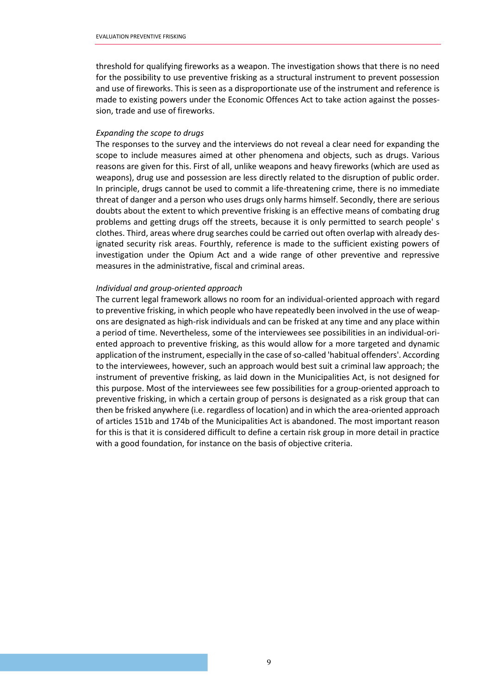threshold for qualifying fireworks as a weapon. The investigation shows that there is no need for the possibility to use preventive frisking as a structural instrument to prevent possession and use of fireworks. This is seen as a disproportionate use of the instrument and reference is made to existing powers under the Economic Offences Act to take action against the possession, trade and use of fireworks.

#### *Expanding the scope to drugs*

The responses to the survey and the interviews do not reveal a clear need for expanding the scope to include measures aimed at other phenomena and objects, such as drugs. Various reasons are given for this. First of all, unlike weapons and heavy fireworks (which are used as weapons), drug use and possession are less directly related to the disruption of public order. In principle, drugs cannot be used to commit a life-threatening crime, there is no immediate threat of danger and a person who uses drugs only harms himself. Secondly, there are serious doubts about the extent to which preventive frisking is an effective means of combating drug problems and getting drugs off the streets, because it is only permitted to search people' s clothes. Third, areas where drug searches could be carried out often overlap with already designated security risk areas. Fourthly, reference is made to the sufficient existing powers of investigation under the Opium Act and a wide range of other preventive and repressive measures in the administrative, fiscal and criminal areas.

#### *Individual and group-oriented approach*

The current legal framework allows no room for an individual-oriented approach with regard to preventive frisking, in which people who have repeatedly been involved in the use of weapons are designated as high-risk individuals and can be frisked at any time and any place within a period of time. Nevertheless, some of the interviewees see possibilities in an individual-oriented approach to preventive frisking, as this would allow for a more targeted and dynamic application of the instrument, especially in the case of so-called 'habitual offenders'. According to the interviewees, however, such an approach would best suit a criminal law approach; the instrument of preventive frisking, as laid down in the Municipalities Act, is not designed for this purpose. Most of the interviewees see few possibilities for a group-oriented approach to preventive frisking, in which a certain group of persons is designated as a risk group that can then be frisked anywhere (i.e. regardless of location) and in which the area-oriented approach of articles 151b and 174b of the Municipalities Act is abandoned. The most important reason for this is that it is considered difficult to define a certain risk group in more detail in practice with a good foundation, for instance on the basis of objective criteria.